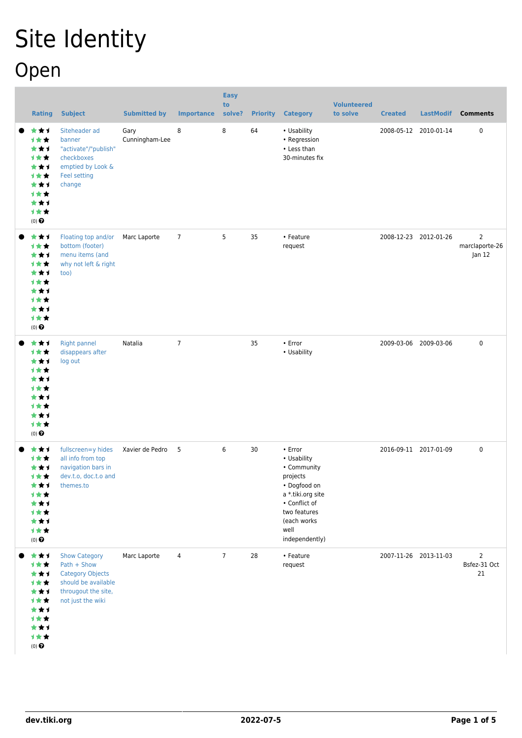## Site Identity Open

| <b>Rating</b>                                                                                 | <b>Subject</b>                                                                                                                    | <b>Submitted by</b>    | <b>Importance</b> | <b>Easy</b><br>to<br>solve? | <b>Priority</b> | <b>Category</b>                                                                                                                                                  | <b>Volunteered</b><br>to solve | <b>Created</b> | <b>LastModif</b>      | <b>Comments</b>                      |
|-----------------------------------------------------------------------------------------------|-----------------------------------------------------------------------------------------------------------------------------------|------------------------|-------------------|-----------------------------|-----------------|------------------------------------------------------------------------------------------------------------------------------------------------------------------|--------------------------------|----------------|-----------------------|--------------------------------------|
| ***<br>计女女<br>***<br>计女女<br>***<br>计女女<br>***<br>1★★<br>***<br>1★★<br>$(0)$ $\odot$           | Siteheader ad<br>banner<br>"activate"/"publish"<br>checkboxes<br>emptied by Look &<br>Feel setting<br>change                      | Gary<br>Cunningham-Lee | 8                 | 8                           | 64              | • Usability<br>• Regression<br>• Less than<br>30-minutes fix                                                                                                     |                                |                | 2008-05-12 2010-01-14 | 0                                    |
| ***<br>计女女<br>***<br>1★★<br>***<br>1★★<br>***<br>1★★<br>***<br>1★★<br>$(0)$ $\odot$           | Floating top and/or<br>bottom (footer)<br>menu items (and<br>why not left & right<br>too)                                         | Marc Laporte           | $7\overline{ }$   | 5                           | 35              | • Feature<br>request                                                                                                                                             |                                |                | 2008-12-23 2012-01-26 | 2<br>marclaporte-26<br>Jan 12        |
| ***<br>1★★<br>***<br>计女女<br>***<br><b>1**</b><br>***<br>计女女<br>***<br>计女女<br>$(0)$ $\odot$    | <b>Right pannel</b><br>disappears after<br>log out                                                                                | Natalia                | $\overline{7}$    |                             | 35              | • Error<br>• Usability                                                                                                                                           |                                |                | 2009-03-06 2009-03-06 | 0                                    |
| ***<br>计女女<br>***<br>1★★<br>★★↑<br>计女女<br>***<br>1★★<br>***<br>计女女<br>$(0)$<br>$\pmb{\Theta}$ | fullscreen=y hides<br>all info from top<br>navigation bars in<br>dev.t.o, doc.t.o and<br>themes.to                                | Xavier de Pedro 5      |                   | 6                           | 30              | • Error<br>• Usability<br>• Community<br>projects<br>• Dogfood on<br>a *.tiki.org site<br>• Conflict of<br>two features<br>(each works<br>well<br>independently) |                                |                | 2016-09-11 2017-01-09 | 0                                    |
| ***<br>计女女<br>***<br>计女女<br>***<br>计女女<br>***<br>计女女<br>***<br>计女女<br>$(0)$ $\odot$           | <b>Show Category</b><br>Path + Show<br><b>Category Objects</b><br>should be available<br>througout the site,<br>not just the wiki | Marc Laporte           | 4                 | $\overline{7}$              | 28              | • Feature<br>request                                                                                                                                             |                                |                | 2007-11-26 2013-11-03 | $\overline{2}$<br>Bsfez-31 Oct<br>21 |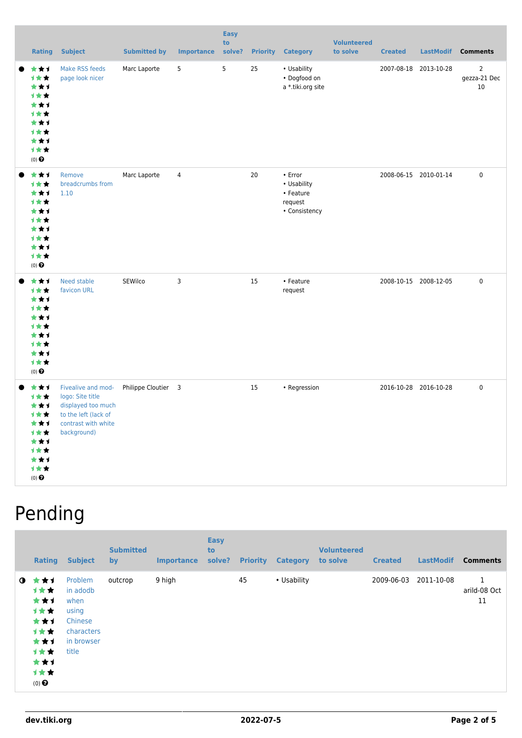| <b>Rating</b>                                                                            | <b>Subject</b>                                                                                                             | <b>Submitted by</b> | <b>Importance</b> | <b>Easy</b><br>to<br>solve? |    | <b>Priority Category</b>                                        | <b>Volunteered</b><br>to solve | <b>Created</b> | <b>LastModif</b>      | <b>Comments</b>                          |
|------------------------------------------------------------------------------------------|----------------------------------------------------------------------------------------------------------------------------|---------------------|-------------------|-----------------------------|----|-----------------------------------------------------------------|--------------------------------|----------------|-----------------------|------------------------------------------|
| ***<br>1★★<br>***<br>1★★<br>***<br>1★★<br>***<br>1★★<br>***<br>1★★<br>$(0)$ $\Theta$     | Make RSS feeds<br>page look nicer                                                                                          | Marc Laporte        | 5                 | 5                           | 25 | • Usability<br>• Dogfood on<br>a *.tiki.org site                |                                |                | 2007-08-18 2013-10-28 | $\overline{2}$<br>gezza-21 Dec<br>$10\,$ |
| ***<br>1★★<br>***<br>1★★<br>***<br>计女女<br>***<br>1**<br>***<br>计女女<br>(0) $\pmb{\Theta}$ | Remove<br>breadcrumbs from<br>1.10                                                                                         | Marc Laporte        | $\overline{4}$    |                             | 20 | • Error<br>• Usability<br>• Feature<br>request<br>• Consistency |                                |                | 2008-06-15 2010-01-14 | 0                                        |
| ***<br>计女女<br>***<br>1★★<br>***<br>1★★<br>***<br>计女女<br>***<br>计女女<br>(0) $\pmb{\Theta}$ | Need stable<br>favicon URL                                                                                                 | SEWilco             | 3                 |                             | 15 | • Feature<br>request                                            |                                |                | 2008-10-15 2008-12-05 | 0                                        |
| ***<br>***<br>***<br>计女女<br>***<br>1★★<br>***<br>1★★<br>***<br>1女女<br>$(0)$ $\Theta$     | Fivealive and mod-<br>logo: Site title<br>displayed too much<br>to the left (lack of<br>contrast with white<br>background) | Philippe Cloutier 3 |                   |                             | 15 | • Regression                                                    |                                |                | 2016-10-28 2016-10-28 | 0                                        |

## Pending

|             | <b>Rating</b>                                                                       | <b>Subject</b>                                                                       | <b>Submitted</b><br><b>by</b> | <b>Importance</b> | <b>Easy</b><br>to<br>solve? | <b>Priority</b> | <b>Category</b> | <b>Volunteered</b><br>to solve | <b>Created</b> | <b>LastModif</b> | <b>Comments</b>         |
|-------------|-------------------------------------------------------------------------------------|--------------------------------------------------------------------------------------|-------------------------------|-------------------|-----------------------------|-----------------|-----------------|--------------------------------|----------------|------------------|-------------------------|
| $\mathbf o$ | ***<br>1★★<br>***<br>计女女<br>***<br>计女女<br>***<br>1★★<br>***<br>计女女<br>$(0)$ $\odot$ | Problem<br>in adodb<br>when<br>using<br>Chinese<br>characters<br>in browser<br>title | outcrop                       | 9 high            |                             | 45              | • Usability     |                                | 2009-06-03     | 2011-10-08       | 1<br>arild-08 Oct<br>11 |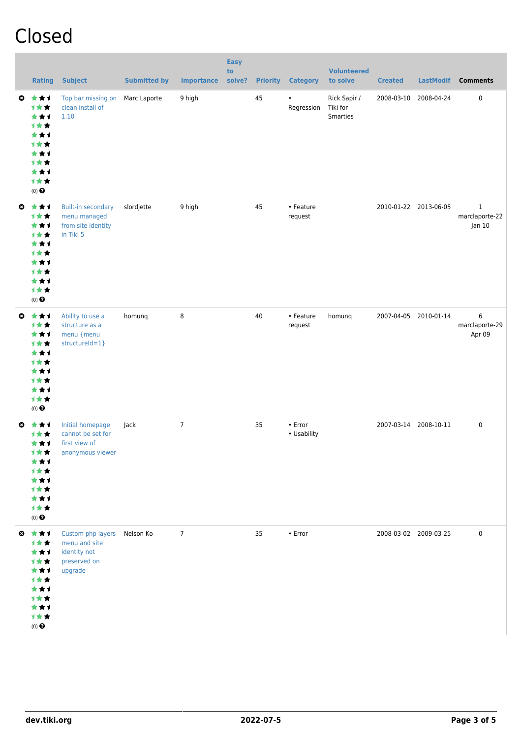## Closed

|   | <b>Rating</b>                                                                                         | <b>Subject</b>                                                                          | <b>Submitted by</b> | <b>Importance</b> | <b>Easy</b><br>to<br>solve? | <b>Priority</b> | <b>Category</b>        | <b>Volunteered</b><br>to solve              | <b>Created</b> | <b>LastModif</b>      | <b>Comments</b>                          |
|---|-------------------------------------------------------------------------------------------------------|-----------------------------------------------------------------------------------------|---------------------|-------------------|-----------------------------|-----------------|------------------------|---------------------------------------------|----------------|-----------------------|------------------------------------------|
|   | $0 \star \star 1$<br>1★★<br>***<br>1★★<br>***<br>计女女<br>***<br>才女女<br>***<br>***<br>$(0)$ $\odot$     | Top bar missing on<br>clean install of<br>1.10                                          | Marc Laporte        | 9 high            |                             | 45              | Regression             | Rick Sapir /<br>Tiki for<br><b>Smarties</b> |                | 2008-03-10 2008-04-24 | 0                                        |
| ◎ | ***<br>计女女<br>***<br>计女女<br>***<br>***<br>***<br>计女女<br>***<br>计女女<br>$(0)$ $\odot$                   | <b>Built-in secondary</b><br>menu managed<br>from site identity<br>in Tiki 5            | slordjette          | 9 high            |                             | 45              | • Feature<br>request   |                                             |                | 2010-01-22 2013-06-05 | $\mathbf{1}$<br>marclaporte-22<br>Jan 10 |
|   | ◎ ★★1<br>计女女<br>***<br>计女女<br>***<br>计女女<br>***<br>计女女<br>***<br>计女女<br>$(0)$ $\odot$                 | Ability to use a<br>structure as a<br>menu {menu<br>structureId=1}                      | homunq              | 8                 |                             | 40              | • Feature<br>request   | homunq                                      |                | 2007-04-05 2010-01-14 | 6<br>marclaporte-29<br>Apr 09            |
|   | $0 \star \star \star$<br>1★★<br>***<br>计女女<br>***<br>计女女<br>***<br>计女女<br>***<br>计女女<br>$(0)$ $\odot$ | Initial homepage<br>cannot be set for<br>first view of<br>anonymous viewer              | Jack                | $\overline{7}$    |                             | 35              | • Error<br>• Usability |                                             |                | 2007-03-14 2008-10-11 | $\mathbf 0$                              |
|   | ◎ ★★1<br>1★★<br>***<br>计女女<br>***<br>计女女<br>***<br>计女女<br>***<br>计女女<br>$(0)$ $\bigodot$              | Custom php layers Nelson Ko<br>menu and site<br>identity not<br>preserved on<br>upgrade |                     | $\overline{7}$    |                             | 35              | • Error                |                                             |                | 2008-03-02 2009-03-25 | $\mathbf 0$                              |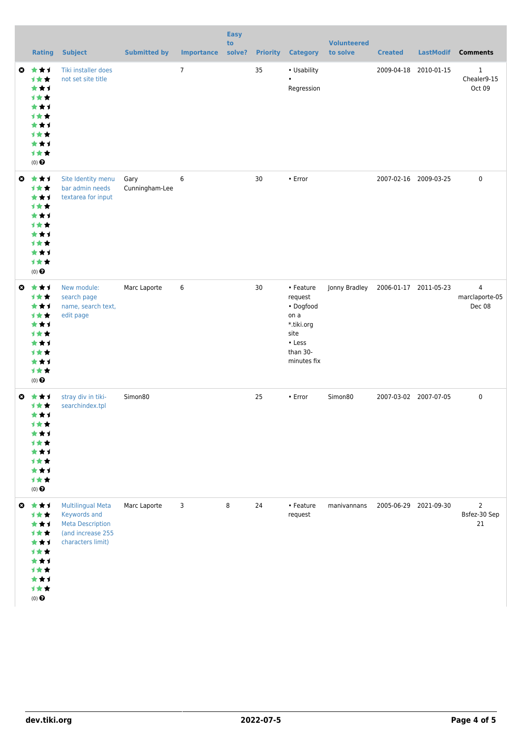|                       | <b>Rating</b>                                                                                                          | <b>Subject</b>                                                                                                | <b>Submitted by</b>    | <b>Importance</b> | <b>Easy</b><br>to<br>solve? | <b>Priority</b> | <b>Category</b>                                                                                      | <b>Volunteered</b><br>to solve | <b>Created</b>        | <b>LastModif</b> | <b>Comments</b>                            |
|-----------------------|------------------------------------------------------------------------------------------------------------------------|---------------------------------------------------------------------------------------------------------------|------------------------|-------------------|-----------------------------|-----------------|------------------------------------------------------------------------------------------------------|--------------------------------|-----------------------|------------------|--------------------------------------------|
|                       | $0 \star \star \star$<br>1★★<br>***<br>1★★<br>***<br><b>1**</b><br>***<br><b>1**</b><br>★★1<br>计女女<br>$(0)$ $\bigodot$ | Tiki installer does<br>not set site title                                                                     |                        | $\overline{7}$    |                             | 35              | • Usability<br>$\bullet$<br>Regression                                                               |                                | 2009-04-18            | 2010-01-15       | $\mathbf{1}$<br>Chealer9-15<br>Oct 09      |
| $\boldsymbol{\omega}$ | ***<br>计女女<br>***<br>***<br>***<br><b>1**</b><br>***<br><b>1**</b><br>***<br>计女女<br>$(0)$ $\bigodot$                   | Site Identity menu<br>bar admin needs<br>textarea for input                                                   | Gary<br>Cunningham-Lee | 6                 |                             | 30              | • Error                                                                                              |                                | 2007-02-16 2009-03-25 |                  | $\pmb{0}$                                  |
| $\boldsymbol{\omega}$ | ***<br>计女女<br>***<br>计女女<br>***<br><b>1**</b><br>***<br><b>1**</b><br>***<br>计女女<br>$(0)$ $\odot$                      | New module:<br>search page<br>name, search text,<br>edit page                                                 | Marc Laporte           | 6                 |                             | 30              | • Feature<br>request<br>• Dogfood<br>on a<br>*.tiki.org<br>site<br>• Less<br>than 30-<br>minutes fix | Jonny Bradley                  | 2006-01-17 2011-05-23 |                  | $\overline{4}$<br>marclaporte-05<br>Dec 08 |
|                       | $0 \star \star \star$<br><b>1★★</b><br>***<br>计女女<br>***<br>计女女<br>***<br>计女女<br>***<br>计女女<br>$(0)$ $\bigodot$        | stray div in tiki-<br>searchindex.tpl                                                                         | Simon80                |                   |                             | 25              | • Error                                                                                              | Simon80                        | 2007-03-02 2007-07-05 |                  | $\pmb{0}$                                  |
|                       | ◎ ★★1<br>计女女<br>***<br>计女女<br>***<br>计女女<br>***<br>计女女<br>***<br>计女女<br>$(0)$<br>$\pmb{\Theta}$                        | <b>Multilingual Meta</b><br>Keywords and<br><b>Meta Description</b><br>(and increase 255<br>characters limit) | Marc Laporte           | 3                 | 8                           | 24              | • Feature<br>request                                                                                 | manivannans                    | 2005-06-29 2021-09-30 |                  | $\overline{2}$<br>Bsfez-30 Sep<br>21       |